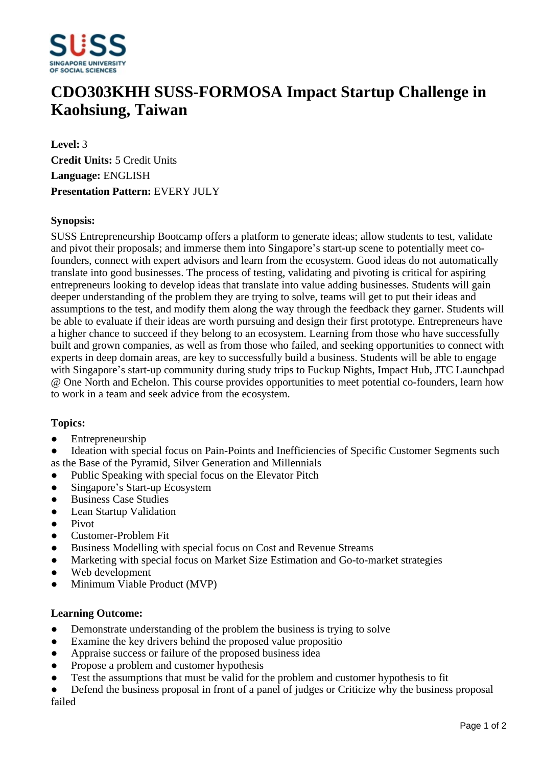

# **CDO303KHH SUSS-FORMOSA Impact Startup Challenge in Kaohsiung, Taiwan**

**Level:** 3 **Credit Units:** 5 Credit Units **Language:** ENGLISH **Presentation Pattern:** EVERY JULY

### **Synopsis:**

SUSS Entrepreneurship Bootcamp offers a platform to generate ideas; allow students to test, validate and pivot their proposals; and immerse them into Singapore's start-up scene to potentially meet cofounders, connect with expert advisors and learn from the ecosystem. Good ideas do not automatically translate into good businesses. The process of testing, validating and pivoting is critical for aspiring entrepreneurs looking to develop ideas that translate into value adding businesses. Students will gain deeper understanding of the problem they are trying to solve, teams will get to put their ideas and assumptions to the test, and modify them along the way through the feedback they garner. Students will be able to evaluate if their ideas are worth pursuing and design their first prototype. Entrepreneurs have a higher chance to succeed if they belong to an ecosystem. Learning from those who have successfully built and grown companies, as well as from those who failed, and seeking opportunities to connect with experts in deep domain areas, are key to successfully build a business. Students will be able to engage with Singapore's start-up community during study trips to Fuckup Nights, Impact Hub, JTC Launchpad @ One North and Echelon. This course provides opportunities to meet potential co-founders, learn how to work in a team and seek advice from the ecosystem.

#### **Topics:**

• Entrepreneurship

Ideation with special focus on Pain-Points and Inefficiencies of Specific Customer Segments such as the Base of the Pyramid, Silver Generation and Millennials

- Public Speaking with special focus on the Elevator Pitch
- Singapore's Start-up Ecosystem
- Business Case Studies
- Lean Startup Validation
- Pivot
- Customer-Problem Fit
- Business Modelling with special focus on Cost and Revenue Streams
- Marketing with special focus on Market Size Estimation and Go-to-market strategies
- Web development
- Minimum Viable Product (MVP)

#### **Learning Outcome:**

- Demonstrate understanding of the problem the business is trying to solve
- Examine the key drivers behind the proposed value propositio
- Appraise success or failure of the proposed business idea
- Propose a problem and customer hypothesis
- ƔTest the assumptions that must be valid for the problem and customer hypothesis to fit
- Defend the business proposal in front of a panel of judges or Criticize why the business proposal failed